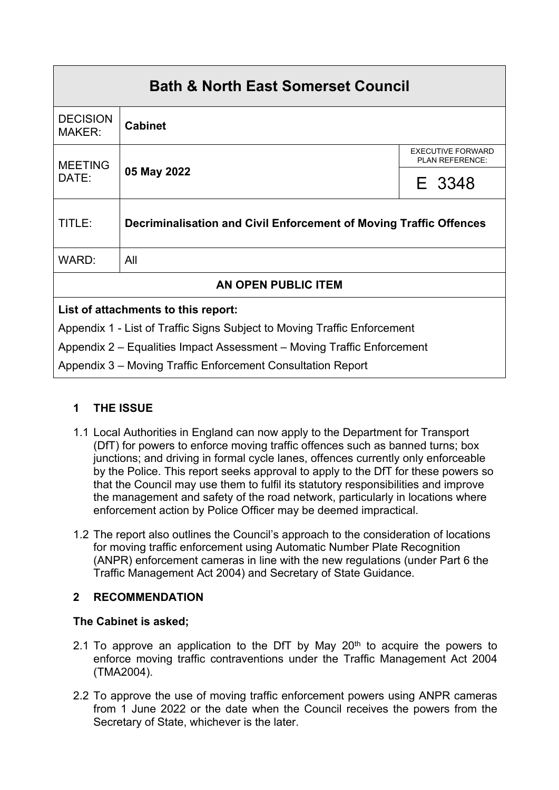| <b>Bath &amp; North East Somerset Council</b>                            |                                                                    |                                             |  |
|--------------------------------------------------------------------------|--------------------------------------------------------------------|---------------------------------------------|--|
| <b>DECISION</b><br><b>MAKER:</b>                                         | <b>Cabinet</b>                                                     |                                             |  |
| <b>MEETING</b><br>DATE:                                                  | 05 May 2022                                                        | <b>EXECUTIVE FORWARD</b><br>PLAN REFERENCE: |  |
|                                                                          |                                                                    | E 3348                                      |  |
| TITLE:                                                                   | Decriminalisation and Civil Enforcement of Moving Traffic Offences |                                             |  |
| WARD:                                                                    | All                                                                |                                             |  |
| <b>AN OPEN PUBLIC ITEM</b>                                               |                                                                    |                                             |  |
| List of attachments to this report:                                      |                                                                    |                                             |  |
| Appendix 1 - List of Traffic Signs Subject to Moving Traffic Enforcement |                                                                    |                                             |  |
| Appendix 2 – Equalities Impact Assessment – Moving Traffic Enforcement   |                                                                    |                                             |  |
| Appendix 3 – Moving Traffic Enforcement Consultation Report              |                                                                    |                                             |  |

# **1 THE ISSUE**

- 1.1 Local Authorities in England can now apply to the Department for Transport (DfT) for powers to enforce moving traffic offences such as banned turns; box junctions; and driving in formal cycle lanes, offences currently only enforceable by the Police. This report seeks approval to apply to the DfT for these powers so that the Council may use them to fulfil its statutory responsibilities and improve the management and safety of the road network, particularly in locations where enforcement action by Police Officer may be deemed impractical.
- 1.2 The report also outlines the Council's approach to the consideration of locations for moving traffic enforcement using Automatic Number Plate Recognition (ANPR) enforcement cameras in line with the new regulations (under Part 6 the Traffic Management Act 2004) and Secretary of State Guidance.

## **2 RECOMMENDATION**

## **The Cabinet is asked;**

- 2.1 To approve an application to the DfT by May  $20<sup>th</sup>$  to acquire the powers to enforce moving traffic contraventions under the Traffic Management Act 2004 (TMA2004).
- 2.2 To approve the use of moving traffic enforcement powers using ANPR cameras from 1 June 2022 or the date when the Council receives the powers from the Secretary of State, whichever is the later.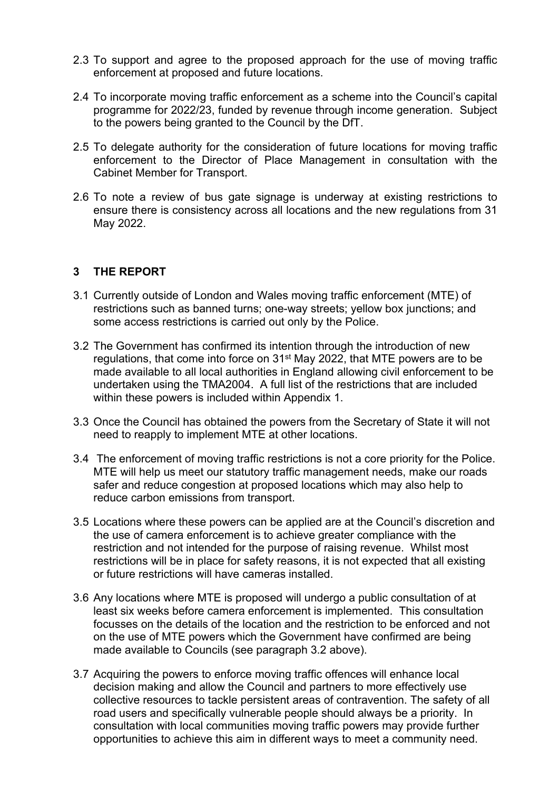- 2.3 To support and agree to the proposed approach for the use of moving traffic enforcement at proposed and future locations.
- 2.4 To incorporate moving traffic enforcement as a scheme into the Council's capital programme for 2022/23, funded by revenue through income generation. Subject to the powers being granted to the Council by the DfT.
- 2.5 To delegate authority for the consideration of future locations for moving traffic enforcement to the Director of Place Management in consultation with the Cabinet Member for Transport.
- 2.6 To note a review of bus gate signage is underway at existing restrictions to ensure there is consistency across all locations and the new regulations from 31 May 2022.

#### **3 THE REPORT**

- 3.1 Currently outside of London and Wales moving traffic enforcement (MTE) of restrictions such as banned turns; one-way streets; yellow box junctions; and some access restrictions is carried out only by the Police.
- 3.2 The Government has confirmed its intention through the introduction of new regulations, that come into force on 31<sup>st</sup> May 2022, that MTE powers are to be made available to all local authorities in England allowing civil enforcement to be undertaken using the TMA2004. A full list of the restrictions that are included within these powers is included within Appendix 1.
- 3.3 Once the Council has obtained the powers from the Secretary of State it will not need to reapply to implement MTE at other locations.
- 3.4 The enforcement of moving traffic restrictions is not a core priority for the Police. MTE will help us meet our statutory traffic management needs, make our roads safer and reduce congestion at proposed locations which may also help to reduce carbon emissions from transport.
- 3.5 Locations where these powers can be applied are at the Council's discretion and the use of camera enforcement is to achieve greater compliance with the restriction and not intended for the purpose of raising revenue. Whilst most restrictions will be in place for safety reasons, it is not expected that all existing or future restrictions will have cameras installed.
- 3.6 Any locations where MTE is proposed will undergo a public consultation of at least six weeks before camera enforcement is implemented. This consultation focusses on the details of the location and the restriction to be enforced and not on the use of MTE powers which the Government have confirmed are being made available to Councils (see paragraph 3.2 above).
- 3.7 Acquiring the powers to enforce moving traffic offences will enhance local decision making and allow the Council and partners to more effectively use collective resources to tackle persistent areas of contravention. The safety of all road users and specifically vulnerable people should always be a priority. In consultation with local communities moving traffic powers may provide further opportunities to achieve this aim in different ways to meet a community need.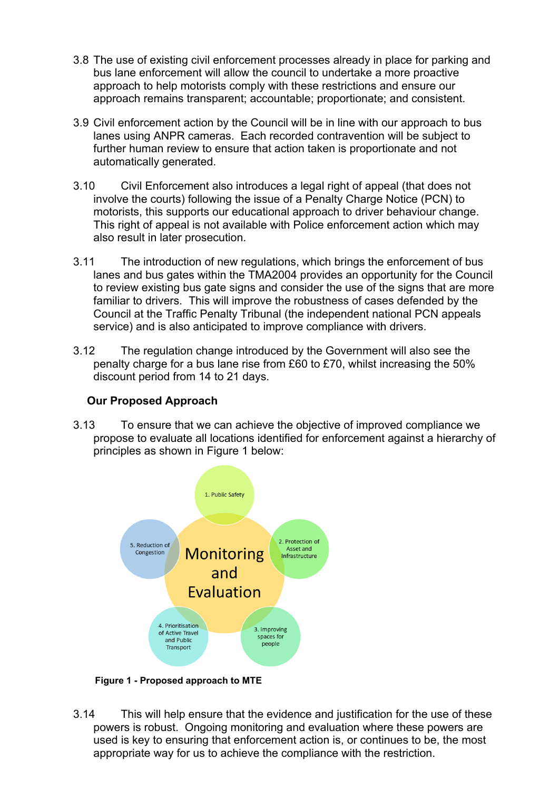- 3.8 The use of existing civil enforcement processes already in place for parking and bus lane enforcement will allow the council to undertake a more proactive approach to help motorists comply with these restrictions and ensure our approach remains transparent; accountable; proportionate; and consistent.
- 3.9 Civil enforcement action by the Council will be in line with our approach to bus lanes using ANPR cameras. Each recorded contravention will be subject to further human review to ensure that action taken is proportionate and not automatically generated.
- 3.10 Civil Enforcement also introduces a legal right of appeal (that does not involve the courts) following the issue of a Penalty Charge Notice (PCN) to motorists, this supports our educational approach to driver behaviour change. This right of appeal is not available with Police enforcement action which may also result in later prosecution.
- 3.11 The introduction of new regulations, which brings the enforcement of bus lanes and bus gates within the TMA2004 provides an opportunity for the Council to review existing bus gate signs and consider the use of the signs that are more familiar to drivers. This will improve the robustness of cases defended by the Council at the Traffic Penalty Tribunal (the independent national PCN appeals service) and is also anticipated to improve compliance with drivers.
- 3.12 The regulation change introduced by the Government will also see the penalty charge for a bus lane rise from £60 to £70, whilst increasing the 50% discount period from 14 to 21 days.

### **Our Proposed Approach**

3.13 To ensure that we can achieve the objective of improved compliance we propose to evaluate all locations identified for enforcement against a hierarchy of principles as shown in Figure 1 below:



**Figure 1 - Proposed approach to MTE**

3.14 This will help ensure that the evidence and justification for the use of these powers is robust. Ongoing monitoring and evaluation where these powers are used is key to ensuring that enforcement action is, or continues to be, the most appropriate way for us to achieve the compliance with the restriction.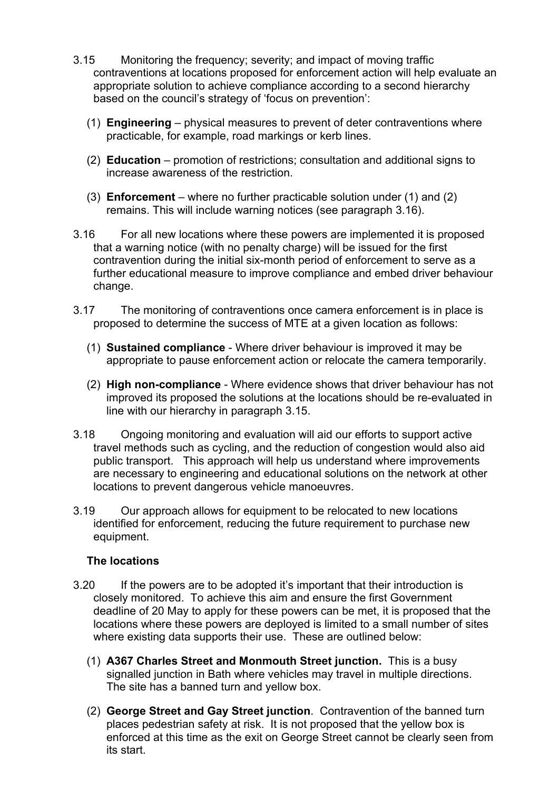- 3.15 Monitoring the frequency; severity; and impact of moving traffic contraventions at locations proposed for enforcement action will help evaluate an appropriate solution to achieve compliance according to a second hierarchy based on the council's strategy of 'focus on prevention':
	- (1) **Engineering** physical measures to prevent of deter contraventions where practicable, for example, road markings or kerb lines.
	- (2) **Education** promotion of restrictions; consultation and additional signs to increase awareness of the restriction.
	- (3) **Enforcement** where no further practicable solution under (1) and (2) remains. This will include warning notices (see paragraph 3.16).
- 3.16 For all new locations where these powers are implemented it is proposed that a warning notice (with no penalty charge) will be issued for the first contravention during the initial six-month period of enforcement to serve as a further educational measure to improve compliance and embed driver behaviour change.
- 3.17 The monitoring of contraventions once camera enforcement is in place is proposed to determine the success of MTE at a given location as follows:
	- (1) **Sustained compliance** Where driver behaviour is improved it may be appropriate to pause enforcement action or relocate the camera temporarily.
	- (2) **High non-compliance** Where evidence shows that driver behaviour has not improved its proposed the solutions at the locations should be re-evaluated in line with our hierarchy in paragraph 3.15.
- 3.18 Ongoing monitoring and evaluation will aid our efforts to support active travel methods such as cycling, and the reduction of congestion would also aid public transport. This approach will help us understand where improvements are necessary to engineering and educational solutions on the network at other locations to prevent dangerous vehicle manoeuvres.
- 3.19 Our approach allows for equipment to be relocated to new locations identified for enforcement, reducing the future requirement to purchase new equipment.

#### **The locations**

- 3.20 If the powers are to be adopted it's important that their introduction is closely monitored. To achieve this aim and ensure the first Government deadline of 20 May to apply for these powers can be met, it is proposed that the locations where these powers are deployed is limited to a small number of sites where existing data supports their use. These are outlined below:
	- (1) **A367 Charles Street and Monmouth Street junction.** This is a busy signalled junction in Bath where vehicles may travel in multiple directions. The site has a banned turn and yellow box.
	- (2) **George Street and Gay Street junction**. Contravention of the banned turn places pedestrian safety at risk. It is not proposed that the yellow box is enforced at this time as the exit on George Street cannot be clearly seen from its start.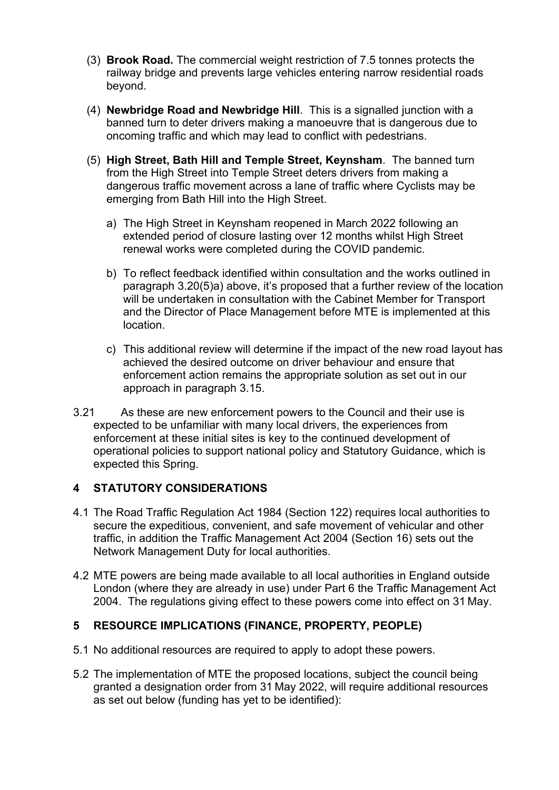- (3) **Brook Road.** The commercial weight restriction of 7.5 tonnes protects the railway bridge and prevents large vehicles entering narrow residential roads beyond.
- (4) **Newbridge Road and Newbridge Hill**. This is a signalled junction with a banned turn to deter drivers making a manoeuvre that is dangerous due to oncoming traffic and which may lead to conflict with pedestrians.
- (5) **High Street, Bath Hill and Temple Street, Keynsham**. The banned turn from the High Street into Temple Street deters drivers from making a dangerous traffic movement across a lane of traffic where Cyclists may be emerging from Bath Hill into the High Street.
	- a) The High Street in Keynsham reopened in March 2022 following an extended period of closure lasting over 12 months whilst High Street renewal works were completed during the COVID pandemic.
	- b) To reflect feedback identified within consultation and the works outlined in paragraph 3.20(5)a) above, it's proposed that a further review of the location will be undertaken in consultation with the Cabinet Member for Transport and the Director of Place Management before MTE is implemented at this location.
	- c) This additional review will determine if the impact of the new road layout has achieved the desired outcome on driver behaviour and ensure that enforcement action remains the appropriate solution as set out in our approach in paragraph 3.15.
- 3.21 As these are new enforcement powers to the Council and their use is expected to be unfamiliar with many local drivers, the experiences from enforcement at these initial sites is key to the continued development of operational policies to support national policy and Statutory Guidance, which is expected this Spring.

### **4 STATUTORY CONSIDERATIONS**

- 4.1 The Road Traffic Regulation Act 1984 (Section 122) requires local authorities to secure the expeditious, convenient, and safe movement of vehicular and other traffic, in addition the Traffic Management Act 2004 (Section 16) sets out the Network Management Duty for local authorities.
- 4.2 MTE powers are being made available to all local authorities in England outside London (where they are already in use) under Part 6 the Traffic Management Act 2004. The regulations giving effect to these powers come into effect on 31 May.

#### **5 RESOURCE IMPLICATIONS (FINANCE, PROPERTY, PEOPLE)**

- 5.1 No additional resources are required to apply to adopt these powers.
- 5.2 The implementation of MTE the proposed locations, subject the council being granted a designation order from 31 May 2022, will require additional resources as set out below (funding has yet to be identified):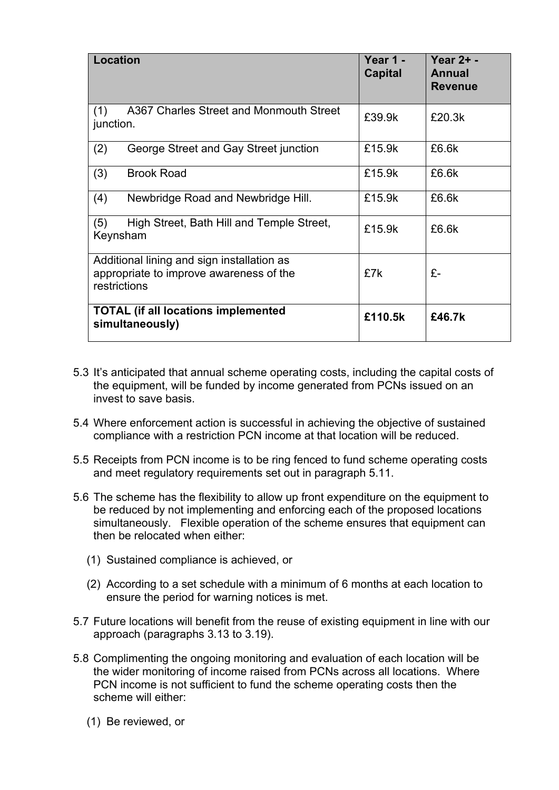| <b>Location</b>                                                                                       | Year 1 -<br><b>Capital</b> | Year 2+ -<br>Annual<br><b>Revenue</b> |
|-------------------------------------------------------------------------------------------------------|----------------------------|---------------------------------------|
| A367 Charles Street and Monmouth Street<br>(1)<br>junction.                                           | £39.9k                     | £20.3k                                |
| (2)<br>George Street and Gay Street junction                                                          | £15.9k                     | £6.6k                                 |
| (3)<br><b>Brook Road</b>                                                                              | £15.9k                     | £6.6k                                 |
| (4)<br>Newbridge Road and Newbridge Hill.                                                             | £15.9k                     | £6.6k                                 |
| (5)<br>High Street, Bath Hill and Temple Street,<br>Keynsham                                          | £15.9k                     | £6.6k                                 |
| Additional lining and sign installation as<br>appropriate to improve awareness of the<br>restrictions | £7k                        | £-                                    |
| <b>TOTAL (if all locations implemented</b><br>simultaneously)                                         | £110.5k                    | £46.7k                                |

- 5.3 It's anticipated that annual scheme operating costs, including the capital costs of the equipment, will be funded by income generated from PCNs issued on an invest to save basis.
- 5.4 Where enforcement action is successful in achieving the objective of sustained compliance with a restriction PCN income at that location will be reduced.
- 5.5 Receipts from PCN income is to be ring fenced to fund scheme operating costs and meet regulatory requirements set out in paragraph 5.11.
- 5.6 The scheme has the flexibility to allow up front expenditure on the equipment to be reduced by not implementing and enforcing each of the proposed locations simultaneously. Flexible operation of the scheme ensures that equipment can then be relocated when either:
	- (1) Sustained compliance is achieved, or
	- (2) According to a set schedule with a minimum of 6 months at each location to ensure the period for warning notices is met.
- 5.7 Future locations will benefit from the reuse of existing equipment in line with our approach (paragraphs 3.13 to 3.19).
- 5.8 Complimenting the ongoing monitoring and evaluation of each location will be the wider monitoring of income raised from PCNs across all locations. Where PCN income is not sufficient to fund the scheme operating costs then the scheme will either:
	- (1) Be reviewed, or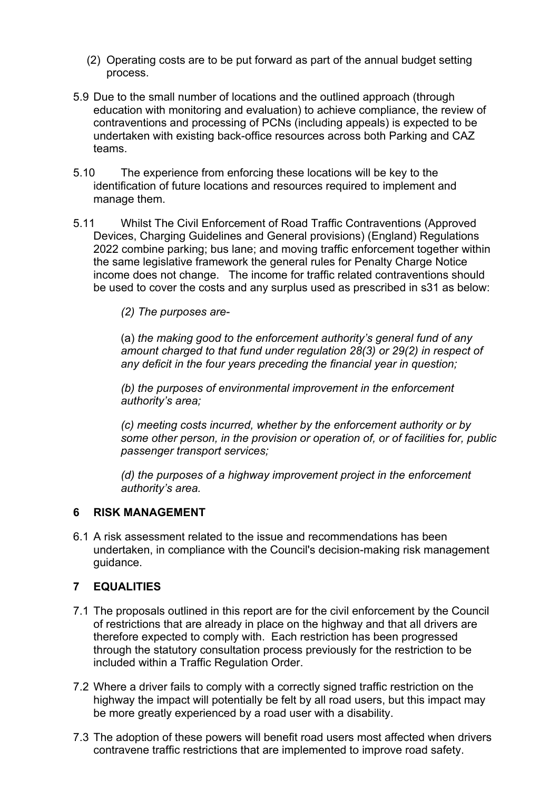- (2) Operating costs are to be put forward as part of the annual budget setting process.
- 5.9 Due to the small number of locations and the outlined approach (through education with monitoring and evaluation) to achieve compliance, the review of contraventions and processing of PCNs (including appeals) is expected to be undertaken with existing back-office resources across both Parking and CAZ teams.
- 5.10 The experience from enforcing these locations will be key to the identification of future locations and resources required to implement and manage them.
- 5.11 Whilst The Civil Enforcement of Road Traffic Contraventions (Approved Devices, Charging Guidelines and General provisions) (England) Regulations 2022 combine parking; bus lane; and moving traffic enforcement together within the same legislative framework the general rules for Penalty Charge Notice income does not change. The income for traffic related contraventions should be used to cover the costs and any surplus used as prescribed in s31 as below:

*(2) The purposes are-*

(a) *the making good to the enforcement authority's general fund of any amount charged to that fund under regulation 28(3) or 29(2) in respect of any deficit in the four years preceding the financial year in question;*

*(b) the purposes of environmental improvement in the enforcement authority's area;*

*(c) meeting costs incurred, whether by the enforcement authority or by some other person, in the provision or operation of, or of facilities for, public passenger transport services;*

*(d) the purposes of a highway improvement project in the enforcement authority's area.*

#### **6 RISK MANAGEMENT**

6.1 A risk assessment related to the issue and recommendations has been undertaken, in compliance with the Council's decision-making risk management guidance.

## **7 EQUALITIES**

- 7.1 The proposals outlined in this report are for the civil enforcement by the Council of restrictions that are already in place on the highway and that all drivers are therefore expected to comply with. Each restriction has been progressed through the statutory consultation process previously for the restriction to be included within a Traffic Regulation Order.
- 7.2 Where a driver fails to comply with a correctly signed traffic restriction on the highway the impact will potentially be felt by all road users, but this impact may be more greatly experienced by a road user with a disability.
- 7.3 The adoption of these powers will benefit road users most affected when drivers contravene traffic restrictions that are implemented to improve road safety.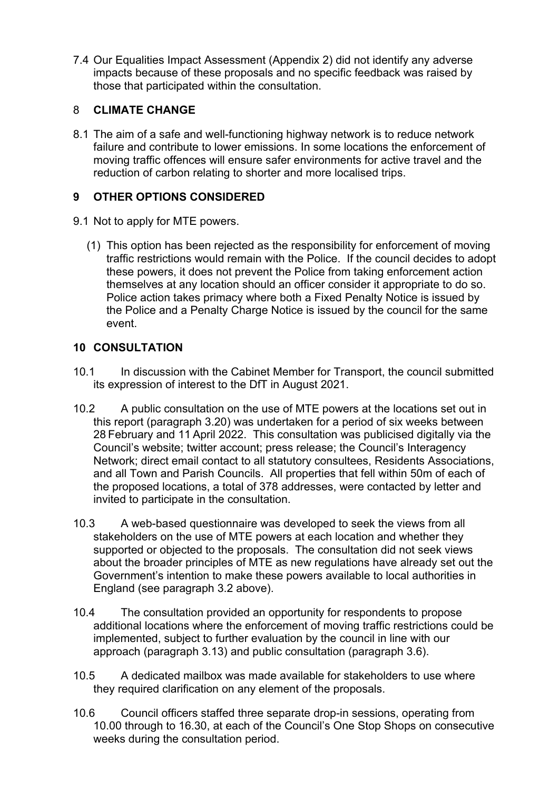7.4 Our Equalities Impact Assessment (Appendix 2) did not identify any adverse impacts because of these proposals and no specific feedback was raised by those that participated within the consultation.

## 8 **CLIMATE CHANGE**

8.1 The aim of a safe and well-functioning highway network is to reduce network failure and contribute to lower emissions. In some locations the enforcement of moving traffic offences will ensure safer environments for active travel and the reduction of carbon relating to shorter and more localised trips.

## **9 OTHER OPTIONS CONSIDERED**

- 9.1 Not to apply for MTE powers.
	- (1) This option has been rejected as the responsibility for enforcement of moving traffic restrictions would remain with the Police. If the council decides to adopt these powers, it does not prevent the Police from taking enforcement action themselves at any location should an officer consider it appropriate to do so. Police action takes primacy where both a Fixed Penalty Notice is issued by the Police and a Penalty Charge Notice is issued by the council for the same event.

## **10 CONSULTATION**

- 10.1 In discussion with the Cabinet Member for Transport, the council submitted its expression of interest to the DfT in August 2021.
- 10.2 A public consultation on the use of MTE powers at the locations set out in this report (paragraph 3.20) was undertaken for a period of six weeks between 28 February and 11 April 2022. This consultation was publicised digitally via the Council's website; twitter account; press release; the Council's Interagency Network; direct email contact to all statutory consultees, Residents Associations, and all Town and Parish Councils. All properties that fell within 50m of each of the proposed locations, a total of 378 addresses, were contacted by letter and invited to participate in the consultation.
- 10.3 A web-based questionnaire was developed to seek the views from all stakeholders on the use of MTE powers at each location and whether they supported or objected to the proposals. The consultation did not seek views about the broader principles of MTE as new regulations have already set out the Government's intention to make these powers available to local authorities in England (see paragraph 3.2 above).
- 10.4 The consultation provided an opportunity for respondents to propose additional locations where the enforcement of moving traffic restrictions could be implemented, subject to further evaluation by the council in line with our approach (paragraph 3.13) and public consultation (paragraph 3.6).
- 10.5 A dedicated mailbox was made available for stakeholders to use where they required clarification on any element of the proposals.
- 10.6 Council officers staffed three separate drop-in sessions, operating from 10.00 through to 16.30, at each of the Council's One Stop Shops on consecutive weeks during the consultation period.